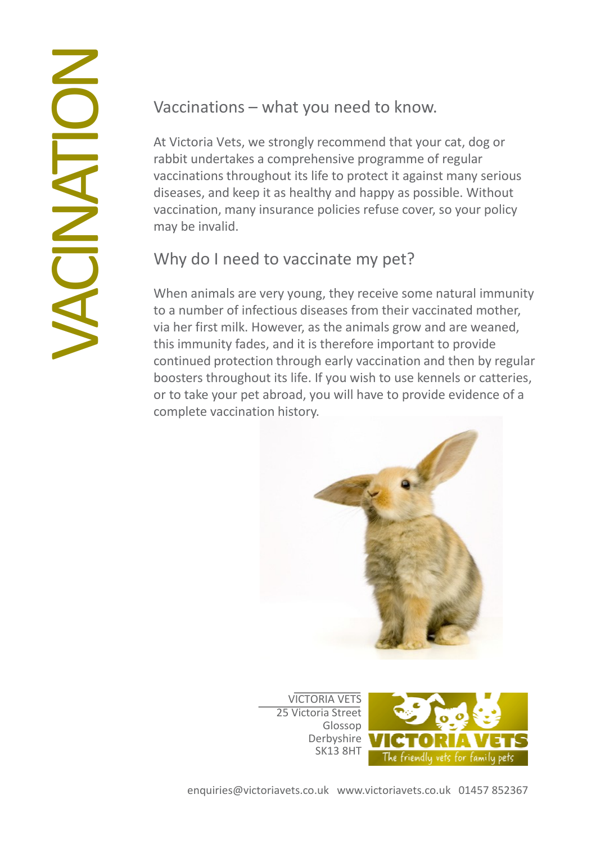Vaccinations – what you need to know.

At Victoria Vets, we strongly recommend that your cat, dog or rabbit undertakes a comprehensive programme of regular vaccinations throughout its life to protect it against many serious diseases, and keep it as healthy and happy as possible. Without vaccination, many insurance policies refuse cover, so your policy may be invalid.

## Why do I need to vaccinate my pet?

When animals are very young, they receive some natural immunity to a number of infectious diseases from their vaccinated mother, via her first milk. However, as the animals grow and are weaned, this immunity fades, and it is therefore important to provide continued protection through early vaccination and then by regular boosters throughout its life. If you wish to use kennels or catteries, or to take your pet abroad, you will have to provide evidence of a complete vaccination history.



VICTORIA VETS 25 Victoria Street Glossop Derbyshire SK13 8HT

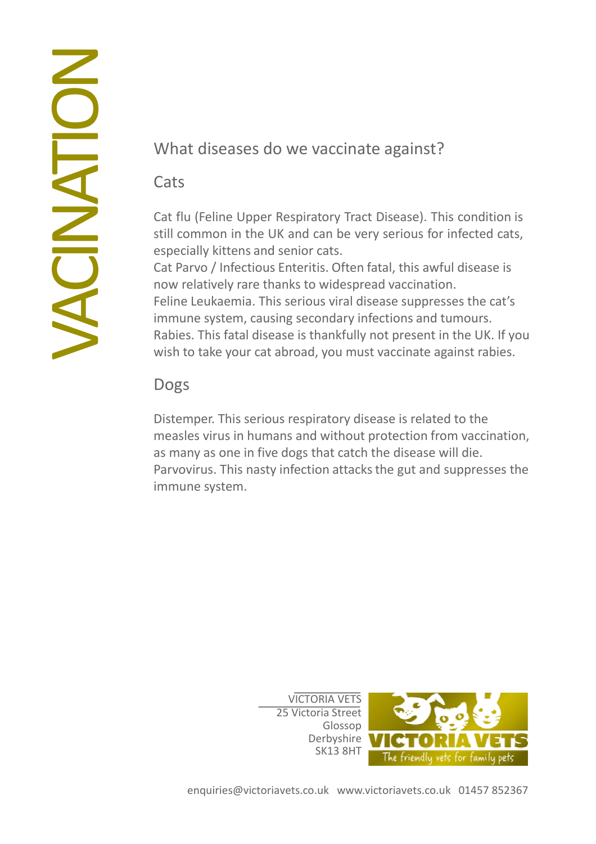# **UACI** Z **NOLL**

# What diseases do we vaccinate against?

#### **Cats**

Cat flu (Feline Upper Respiratory Tract Disease). This condition is still common in the UK and can be very serious for infected cats, especially kittens and senior cats.

Cat Parvo / Infectious Enteritis. Often fatal, this awful disease is now relatively rare thanks to widespread vaccination. Feline Leukaemia. This serious viral disease suppresses the cat's immune system, causing secondary infections and tumours. Rabies. This fatal disease is thankfully not present in the UK. If you wish to take your cat abroad, you must vaccinate against rabies.

## Dogs

Distemper. This serious respiratory disease is related to the measles virus in humans and without protection from vaccination, as many as one in five dogs that catch the disease will die. Parvovirus. This nasty infection attacks the gut and suppresses the immune system.